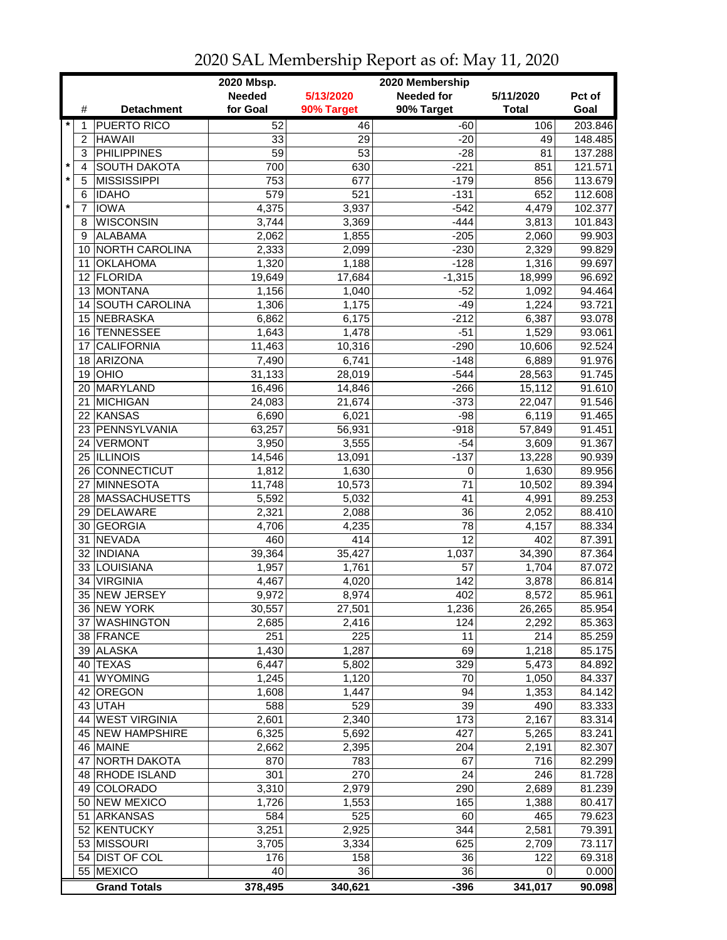|         |                |                              | 2020 Mbsp.      |                 | 2020 Membership   |                   |                  |
|---------|----------------|------------------------------|-----------------|-----------------|-------------------|-------------------|------------------|
|         |                |                              | <b>Needed</b>   | 5/13/2020       | <b>Needed for</b> | 5/11/2020         | Pct of           |
|         | #              | <b>Detachment</b>            | for Goal        | 90% Target      | 90% Target        | <b>Total</b>      | Goal             |
| $\star$ | 1              | <b>PUERTO RICO</b>           | 52              | 46              | $-60$             | 106               | 203.846          |
|         | 2              | <b>HAWAII</b>                | 33              | 29              | $-20$             | 49                | 148.485          |
|         | 3              | <b>PHILIPPINES</b>           | $\overline{59}$ | 53              | $-28$             | 81                | 137.288          |
| $\star$ | $\overline{4}$ | <b>SOUTH DAKOTA</b>          | 700             | 630             | $-221$            | 851               | 121.571          |
| $\star$ | 5              | <b>MISSISSIPPI</b>           | 753             | 677             | $-179$            | 856               | 113.679          |
|         | 6              | <b>IDAHO</b>                 | 579             | 521             | $-131$            | 652               | 112.608          |
| $\star$ | $\overline{7}$ | <b>IOWA</b>                  | 4,375           | 3,937           | $-542$            | 4,479             | 102.377          |
|         | 8              | <b>WISCONSIN</b>             | 3,744           | 3,369           | $-444$            | 3,813             |                  |
|         |                |                              |                 |                 |                   |                   | 101.843          |
|         | 9              | <b>ALABAMA</b>               | 2,062           | 1,855           | $-205$            | 2,060             | 99.903           |
|         | 10             | <b>NORTH CAROLINA</b>        | 2,333           | 2,099           | $-230$            | 2,329             | 99.829           |
|         | 11             | <b>OKLAHOMA</b>              | 1,320           | 1,188           | $-128$            | 1,316             | 99.697           |
|         | 12             | <b>FLORIDA</b>               | 19,649          | 17,684          | $-1,315$          | 18,999            | 96.692           |
|         | 13             | <b>MONTANA</b>               | 1,156           | 1,040           | $-52$             | 1,092             | 94.464           |
|         |                | 14 SOUTH CAROLINA            | 1,306           | 1,175           | $-49$             | 1,224             | 93.721           |
|         |                | 15 NEBRASKA                  | 6,862           | 6,175           | $-212$            | 6,387             | 93.078           |
|         | 16             | <b>TENNESSEE</b>             | 1,643           | 1,478           | $-51$             | 1,529             | 93.061           |
|         | 17             | <b>CALIFORNIA</b>            | 11,463          | 10,316          | $-290$            | 10,606            | 92.524           |
|         | 18             | <b>ARIZONA</b>               | 7,490           | 6,741           | $-148$            | 6,889             | 91.976           |
|         | 19             | OHIO                         | 31,133          | 28,019          | $-544$            | 28,563            | 91.745           |
|         | 20             | MARYLAND                     | 16,496          | 14,846          | $-266$            | 15,112            | 91.610           |
|         | 21             | <b>MICHIGAN</b>              | 24,083          | 21,674          | $-373$            | 22,047            | 91.546           |
|         | 22             | <b>KANSAS</b>                | 6,690           | 6,021           | $-98$             | 6,119             | 91.465           |
|         |                | 23 PENNSYLVANIA              | 63,257          | 56,931          | $-918$            | 57,849            | 91.451           |
|         |                | 24 VERMONT                   | 3,950           | 3,555           | $-54$             | 3,609             | 91.367           |
|         |                | 25 ILLINOIS                  | 14,546          | 13,091          | $-137$            | 13,228            | 90.939           |
|         |                | 26 CONNECTICUT               | 1,812           | 1,630           | 0                 | 1,630             | 89.956           |
|         | 27             | <b>MINNESOTA</b>             | 11,748          | 10,573          | 71                | 10,502            | 89.394           |
|         |                | 28 MASSACHUSETTS             | 5,592           | 5,032           | 41                | 4,991             | 89.253           |
|         |                | 29 DELAWARE                  | 2,321           | 2,088           | 36                | 2,052             | 88.410           |
|         | 30             | <b>GEORGIA</b>               | 4,706           | 4,235           | 78                | 4,157             | 88.334           |
|         | 31             | <b>NEVADA</b>                | 460             | 414             | 12                | 402               | 87.391           |
|         |                | 32   INDIANA                 | 39,364          | 35,427          | 1,037             | 34,390            | 87.364           |
|         |                | 33 LOUISIANA                 | 1,957           | 1,761           | 57                | 1,704             | 87.072           |
|         | 34             | <b>VIRGINIA</b>              | 4,467           | 4,020           | 142               | 3,878             | 86.814           |
|         |                | 35 NEW JERSEY                | 9,972           | 8,974           | 402               | 8,572             | 85.961           |
|         |                |                              |                 |                 | 1,236             |                   |                  |
|         |                | 36 NEW YORK<br>37 WASHINGTON | 30,557<br>2,685 | 27,501<br>2,416 | 124               | 26,265<br>2,292   | 85.954<br>85.363 |
|         |                | 38 FRANCE                    | 251             | 225             | 11                | 214               | 85.259           |
|         |                |                              |                 | 1,287           | 69                |                   |                  |
|         |                | 39 ALASKA                    | 1,430           |                 |                   | 1,218             | 85.175           |
|         |                | 40 TEXAS                     | 6,447           | 5,802           | 329               | 5,473             | 84.892           |
|         | 41             | <b>WYOMING</b>               | 1,245           | 1,120           | 70                | 1,050             | 84.337           |
|         |                | 42 OREGON                    | 1,608           | 1,447           | 94                | 1,353             | 84.142           |
|         |                | 43 UTAH                      | 588             | 529             | $\overline{39}$   | 490               | 83.333           |
|         |                | 44 WEST VIRGINIA             | 2,601           | 2,340           | 173               | 2,167             | 83.314           |
|         |                | 45 NEW HAMPSHIRE             | 6,325           | 5,692           | 427               | 5,265             | 83.241           |
|         |                | 46 MAINE                     | 2,662           | 2,395           | 204               | 2,191             | 82.307           |
|         | 47             | <b>NORTH DAKOTA</b>          | 870             | 783             | 67                | 716               | 82.299           |
|         |                | 48 RHODE ISLAND              | 301             | 270             | 24                | $\overline{2}$ 46 | 81.728           |
|         |                | 49 COLORADO                  | 3,310           | 2,979           | 290               | 2,689             | 81.239           |
|         |                | 50 NEW MEXICO                | 1,726           | 1,553           | 165               | 1,388             | 80.417           |
|         | 51             | ARKANSAS                     | 584             | 525             | 60                | 465               | 79.623           |
|         |                | 52 KENTUCKY                  | 3,251           | 2,925           | 344               | 2,581             | 79.391           |
|         |                | 53 MISSOURI                  | 3,705           | 3,334           | 625               | 2,709             | 73.117           |
|         |                | 54 DIST OF COL               | 176             | 158             | 36                | 122               | 69.318           |
|         |                | 55 MEXICO                    | 40              | 36              | 36                | 0                 | 0.000            |
|         |                | <b>Grand Totals</b>          | 378,495         | 340,621         | $-396$            | 341,017           | 90.098           |

## 2020 SAL Membership Report as of: May 11, 2020